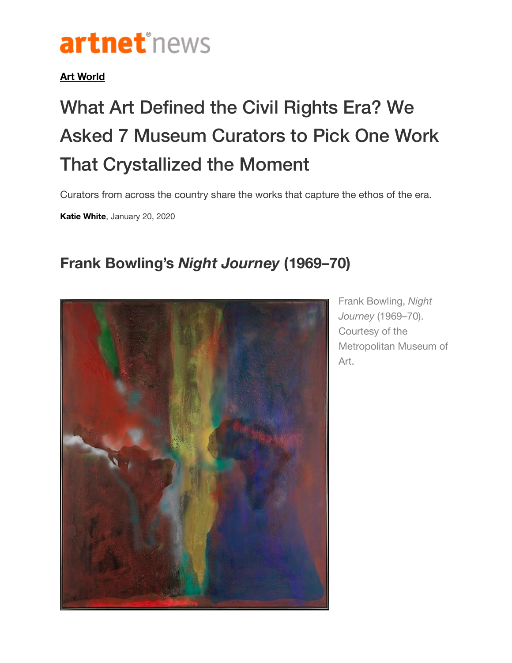## artnet<sup>®</sup>news

## **[Art World](https://news.artnet.com/art-world)**

## What Art Defined the Civil Rights Era? We Asked 7 Museum Curators to Pick One Work That Crystallized the Moment

Curators from across the country share the works that capture the ethos of the era.

**[Katie White](https://news.artnet.com/about/katie-white-1066)**, January 20, 2020

## **Frank Bowling's** *Night Journey* **(1969–70)**



Frank Bowling, *Night Journey* (1969–70). Courtesy of the Metropolitan Museum of Art.